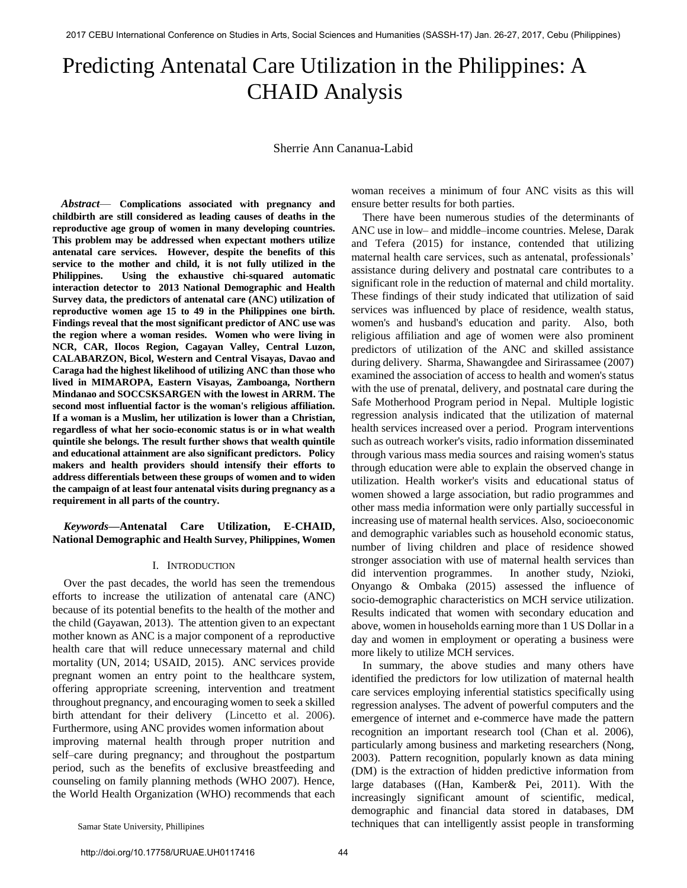# Predicting Antenatal Care Utilization in the Philippines: A CHAID Analysis

Sherrie Ann Cananua-Labid

*Abstract*— **Complications associated with pregnancy and childbirth are still considered as leading causes of deaths in the reproductive age group of women in many developing countries. This problem may be addressed when expectant mothers utilize antenatal care services. However, despite the benefits of this service to the mother and child, it is not fully utilized in the Philippines. Using the exhaustive chi-squared automatic interaction detector to 2013 National Demographic and Health Survey data, the predictors of antenatal care (ANC) utilization of reproductive women age 15 to 49 in the Philippines one birth. Findings reveal that the most significant predictor of ANC use was the region where a woman resides. Women who were living in NCR, CAR, Ilocos Region, Cagayan Valley, Central Luzon, CALABARZON, Bicol, Western and Central Visayas, Davao and Caraga had the highest likelihood of utilizing ANC than those who lived in MIMAROPA, Eastern Visayas, Zamboanga, Northern Mindanao and SOCCSKSARGEN with the lowest in ARRM. The second most influential factor is the woman's religious affiliation. If a woman is a Muslim, her utilization is lower than a Christian, regardless of what her socio-economic status is or in what wealth quintile she belongs. The result further shows that wealth quintile and educational attainment are also significant predictors. Policy makers and health providers should intensify their efforts to address differentials between these groups of women and to widen the campaign of at least four antenatal visits during pregnancy as a requirement in all parts of the country.**

## *Keywords***—Antenatal Care Utilization, E-CHAID, National Demographic and Health Survey, Philippines, Women**

## I. INTRODUCTION

Over the past decades, the world has seen the tremendous efforts to increase the utilization of antenatal care (ANC) because of its potential benefits to the health of the mother and the child (Gayawan, 2013). The attention given to an expectant mother known as ANC is a major component of a reproductive health care that will reduce unnecessary maternal and child mortality (UN, 2014; USAID, 2015). ANC services provide pregnant women an entry point to the healthcare system, offering appropriate screening, intervention and treatment throughout pregnancy, and encouraging women to seek a skilled birth attendant for their delivery (Lincetto et al. 2006). Furthermore, using ANC provides women information about improving maternal health through proper nutrition and self–care during pregnancy; and throughout the postpartum period, such as the benefits of exclusive breastfeeding and counseling on family planning methods (WHO 2007). Hence, the World Health Organization (WHO) recommends that each woman receives a minimum of four ANC visits as this will ensure better results for both parties.

 There have been numerous studies of the determinants of ANC use in low– and middle–income countries. Melese, Darak and Tefera (2015) for instance, contended that utilizing maternal health care services, such as antenatal, professionals' assistance during delivery and postnatal care contributes to a significant role in the reduction of maternal and child mortality. These findings of their study indicated that utilization of said services was influenced by place of residence, wealth status, women's and husband's education and parity. Also, both religious affiliation and age of women were also prominent predictors of utilization of the ANC and skilled assistance during delivery. Sharma, Shawangdee and Sirirassamee (2007) examined the association of access to health and women's status with the use of prenatal, delivery, and postnatal care during the Safe Motherhood Program period in Nepal. Multiple logistic regression analysis indicated that the utilization of maternal health services increased over a period. Program interventions such as outreach worker's visits, radio information disseminated through various mass media sources and raising women's status through education were able to explain the observed change in utilization. Health worker's visits and educational status of women showed a large association, but radio programmes and other mass media information were only partially successful in increasing use of maternal health services. Also, socioeconomic and demographic variables such as household economic status, number of living children and place of residence showed stronger association with use of maternal health services than did intervention programmes. In another study, Nzioki, Onyango & Ombaka (2015) assessed the influence of socio-demographic characteristics on MCH service utilization. Results indicated that women with secondary education and above, women in households earning more than 1 US Dollar in a day and women in employment or operating a business were more likely to utilize MCH services.

In summary, the above studies and many others have identified the predictors for low utilization of maternal health care services employing inferential statistics specifically using regression analyses. The advent of powerful computers and the emergence of internet and e-commerce have made the pattern recognition an important research tool (Chan et al. 2006), particularly among business and marketing researchers (Nong, 2003). Pattern recognition, popularly known as data mining (DM) is the extraction of hidden predictive information from large databases ((Han, Kamber& Pei, 2011). With the increasingly significant amount of scientific, medical, demographic and financial data stored in databases, DM techniques that can intelligently assist people in transforming

Samar State University, Phillipines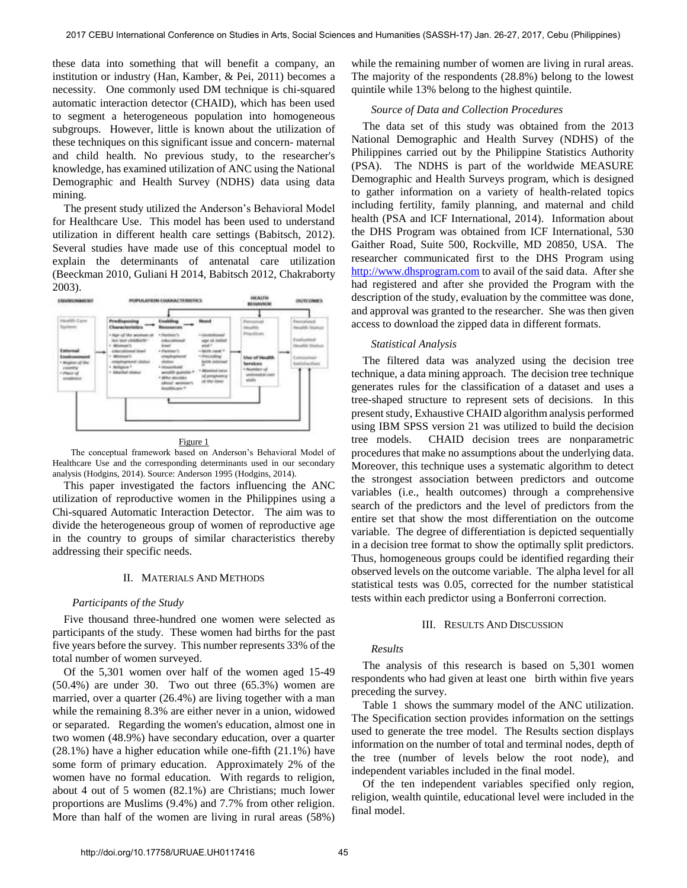these data into something that will benefit a company, an institution or industry (Han, Kamber, & Pei, 2011) becomes a necessity. One commonly used DM technique is chi-squared automatic interaction detector (CHAID), which has been used to segment a heterogeneous population into homogeneous subgroups. However, little is known about the utilization of these techniques on this significant issue and concern- maternal and child health. No previous study, to the researcher's knowledge, has examined utilization of ANC using the National Demographic and Health Survey (NDHS) data using data mining.

The present study utilized the Anderson's Behavioral Model for Healthcare Use. This model has been used to understand utilization in different health care settings (Babitsch, 2012). Several studies have made use of this conceptual model to explain the determinants of antenatal care utilization (Beeckman 2010, Guliani H 2014, Babitsch 2012, Chakraborty 2003).



[Figure 1](https://www.ncbi.nlm.nih.gov/pmc/articles/PMC4871063/figure/F1/) 

 The conceptual framework based on Anderson's Behavioral Model of Healthcare Use and the corresponding determinants used in our secondary analysis (Hodgins, 2014). Source: Anderson 1995 (Hodgins, 2014).

This paper investigated the factors influencing the ANC utilization of reproductive women in the Philippines using a Chi-squared Automatic Interaction Detector. The aim was to divide the heterogeneous group of women of reproductive age in the country to groups of similar characteristics thereby addressing their specific needs.

### II. MATERIALS AND METHODS

### *Participants of the Study*

Five thousand three-hundred one women were selected as participants of the study. These women had births for the past five years before the survey. This number represents 33% of the total number of women surveyed.

Of the 5,301 women over half of the women aged 15-49 (50.4%) are under 30. Two out three (65.3%) women are married, over a quarter (26.4%) are living together with a man while the remaining 8.3% are either never in a union, widowed or separated. Regarding the women's education, almost one in two women (48.9%) have secondary education, over a quarter (28.1%) have a higher education while one-fifth (21.1%) have some form of primary education. Approximately 2% of the women have no formal education. With regards to religion, about 4 out of 5 women (82.1%) are Christians; much lower proportions are Muslims (9.4%) and 7.7% from other religion. More than half of the women are living in rural areas (58%)

while the remaining number of women are living in rural areas. The majority of the respondents (28.8%) belong to the lowest quintile while 13% belong to the highest quintile.

### *Source of Data and Collection Procedures*

The data set of this study was obtained from the 2013 National Demographic and Health Survey (NDHS) of the Philippines carried out by the Philippine Statistics Authority (PSA). The NDHS is part of the worldwide MEASURE Demographic and Health Surveys program, which is designed to gather information on a variety of health-related topics including fertility, family planning, and maternal and child health (PSA and ICF International, 2014). Information about the DHS Program was obtained from ICF International, 530 Gaither Road, Suite 500, Rockville, MD 20850, USA. The researcher communicated first to the DHS Program using [http://www.dhsprogram.com t](http://www.dhsprogram.com/)o avail of the said data. After she had registered and after she provided the Program with the description of the study, evaluation by the committee was done, and approval was granted to the researcher. She was then given access to download the zipped data in different formats.

## *Statistical Analysis*

The filtered data was analyzed using the decision tree technique, a data mining approach. The decision tree technique generates rules for the classification of a dataset and uses a tree-shaped structure to represent sets of decisions. In this present study, Exhaustive CHAID algorithm analysis performed using IBM SPSS version 21 was utilized to build the decision tree models. CHAID decision trees are nonparametric procedures that make no assumptions about the underlying data. Moreover, this technique uses a systematic algorithm to detect the strongest association between predictors and outcome variables (i.e., health outcomes) through a comprehensive search of the predictors and the level of predictors from the entire set that show the most differentiation on the outcome variable. The degree of differentiation is depicted sequentially in a decision tree format to show the optimally split predictors. Thus, homogeneous groups could be identified regarding their observed levels on the outcome variable. The alpha level for all statistical tests was 0.05, corrected for the number statistical tests within each predictor using a Bonferroni correction.

## III. RESULTS AND DISCUSSION

## *Results*

The analysis of this research is based on 5,301 women respondents who had given at least one birth within five years preceding the survey.

Table 1 shows the summary model of the ANC utilization. The Specification section provides information on the settings used to generate the tree model. The Results section displays information on the number of total and terminal nodes, depth of the tree (number of levels below the root node), and independent variables included in the final model.

Of the ten independent variables specified only region, religion, wealth quintile, educational level were included in the final model.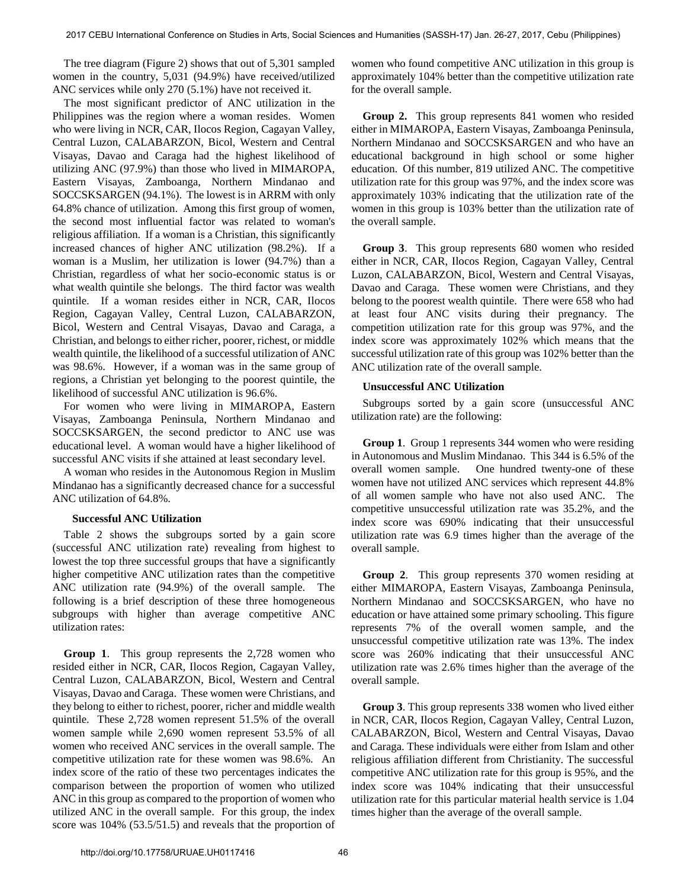The tree diagram (Figure 2) shows that out of 5,301 sampled women in the country, 5,031 (94.9%) have received/utilized ANC services while only 270 (5.1%) have not received it.

The most significant predictor of ANC utilization in the Philippines was the region where a woman resides. Women who were living in NCR, CAR, Ilocos Region, Cagayan Valley, Central Luzon, CALABARZON, Bicol, Western and Central Visayas, Davao and Caraga had the highest likelihood of utilizing ANC (97.9%) than those who lived in MIMAROPA, Eastern Visayas, Zamboanga, Northern Mindanao and SOCCSKSARGEN (94.1%). The lowest is in ARRM with only 64.8% chance of utilization. Among this first group of women, the second most influential factor was related to woman's religious affiliation. If a woman is a Christian, this significantly increased chances of higher ANC utilization (98.2%). If a woman is a Muslim, her utilization is lower (94.7%) than a Christian, regardless of what her socio-economic status is or what wealth quintile she belongs. The third factor was wealth quintile. If a woman resides either in NCR, CAR, Ilocos Region, Cagayan Valley, Central Luzon, CALABARZON, Bicol, Western and Central Visayas, Davao and Caraga, a Christian, and belongs to either richer, poorer, richest, or middle wealth quintile, the likelihood of a successful utilization of ANC was 98.6%. However, if a woman was in the same group of regions, a Christian yet belonging to the poorest quintile, the likelihood of successful ANC utilization is 96.6%.

For women who were living in MIMAROPA, Eastern Visayas, Zamboanga Peninsula, Northern Mindanao and SOCCSKSARGEN, the second predictor to ANC use was educational level. A woman would have a higher likelihood of successful ANC visits if she attained at least secondary level.

A woman who resides in the Autonomous Region in Muslim Mindanao has a significantly decreased chance for a successful ANC utilization of 64.8%.

## **Successful ANC Utilization**

Table 2 shows the subgroups sorted by a gain score (successful ANC utilization rate) revealing from highest to lowest the top three successful groups that have a significantly higher competitive ANC utilization rates than the competitive ANC utilization rate (94.9%) of the overall sample. The following is a brief description of these three homogeneous subgroups with higher than average competitive ANC utilization rates:

**Group 1**. This group represents the 2,728 women who resided either in NCR, CAR, Ilocos Region, Cagayan Valley, Central Luzon, CALABARZON, Bicol, Western and Central Visayas, Davao and Caraga. These women were Christians, and they belong to either to richest, poorer, richer and middle wealth quintile. These 2,728 women represent 51.5% of the overall women sample while 2,690 women represent 53.5% of all women who received ANC services in the overall sample. The competitive utilization rate for these women was 98.6%. An index score of the ratio of these two percentages indicates the comparison between the proportion of women who utilized ANC in this group as compared to the proportion of women who utilized ANC in the overall sample. For this group, the index score was 104% (53.5/51.5) and reveals that the proportion of

women who found competitive ANC utilization in this group is approximately 104% better than the competitive utilization rate for the overall sample.

**Group 2.** This group represents 841 women who resided either in MIMAROPA, Eastern Visayas, Zamboanga Peninsula, Northern Mindanao and SOCCSKSARGEN and who have an educational background in high school or some higher education. Of this number, 819 utilized ANC. The competitive utilization rate for this group was 97%, and the index score was approximately 103% indicating that the utilization rate of the women in this group is 103% better than the utilization rate of the overall sample.

 **Group 3**. This group represents 680 women who resided either in NCR, CAR, Ilocos Region, Cagayan Valley, Central Luzon, CALABARZON, Bicol, Western and Central Visayas, Davao and Caraga. These women were Christians, and they belong to the poorest wealth quintile. There were 658 who had at least four ANC visits during their pregnancy. The competition utilization rate for this group was 97%, and the index score was approximately 102% which means that the successful utilization rate of this group was 102% better than the ANC utilization rate of the overall sample.

## **Unsuccessful ANC Utilization**

Subgroups sorted by a gain score (unsuccessful ANC utilization rate) are the following:

**Group 1**. Group 1 represents 344 women who were residing in Autonomous and Muslim Mindanao. This 344 is 6.5% of the overall women sample. One hundred twenty-one of these women have not utilized ANC services which represent 44.8% of all women sample who have not also used ANC. The competitive unsuccessful utilization rate was 35.2%, and the index score was 690% indicating that their unsuccessful utilization rate was 6.9 times higher than the average of the overall sample.

**Group 2**. This group represents 370 women residing at either MIMAROPA, Eastern Visayas, Zamboanga Peninsula, Northern Mindanao and SOCCSKSARGEN, who have no education or have attained some primary schooling. This figure represents 7% of the overall women sample, and the unsuccessful competitive utilization rate was 13%. The index score was 260% indicating that their unsuccessful ANC utilization rate was 2.6% times higher than the average of the overall sample.

**Group 3**. This group represents 338 women who lived either in NCR, CAR, Ilocos Region, Cagayan Valley, Central Luzon, CALABARZON, Bicol, Western and Central Visayas, Davao and Caraga. These individuals were either from Islam and other religious affiliation different from Christianity. The successful competitive ANC utilization rate for this group is 95%, and the index score was 104% indicating that their unsuccessful utilization rate for this particular material health service is 1.04 times higher than the average of the overall sample.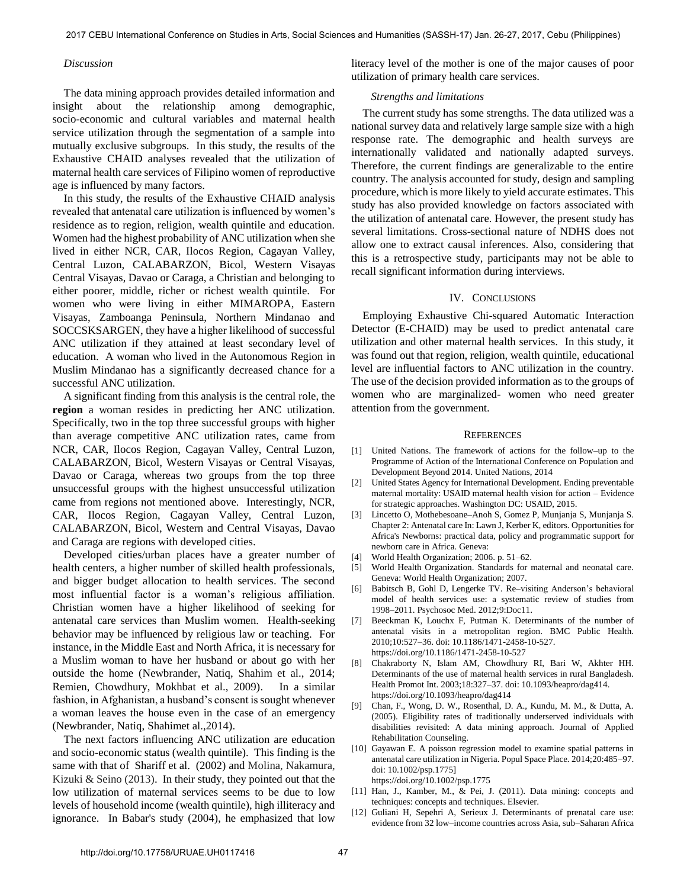#### *Discussion*

The data mining approach provides detailed information and insight about the relationship among demographic, socio-economic and cultural variables and maternal health service utilization through the segmentation of a sample into mutually exclusive subgroups. In this study, the results of the Exhaustive CHAID analyses revealed that the utilization of maternal health care services of Filipino women of reproductive age is influenced by many factors.

In this study, the results of the Exhaustive CHAID analysis revealed that antenatal care utilization is influenced by women's residence as to region, religion, wealth quintile and education. Women had the highest probability of ANC utilization when she lived in either NCR, CAR, Ilocos Region, Cagayan Valley, Central Luzon, CALABARZON, Bicol, Western Visayas Central Visayas, Davao or Caraga, a Christian and belonging to either poorer, middle, richer or richest wealth quintile. For women who were living in either MIMAROPA, Eastern Visayas, Zamboanga Peninsula, Northern Mindanao and SOCCSKSARGEN, they have a higher likelihood of successful ANC utilization if they attained at least secondary level of education. A woman who lived in the Autonomous Region in Muslim Mindanao has a significantly decreased chance for a successful ANC utilization.

A significant finding from this analysis is the central role, the **region** a woman resides in predicting her ANC utilization. Specifically, two in the top three successful groups with higher than average competitive ANC utilization rates, came from NCR, CAR, Ilocos Region, Cagayan Valley, Central Luzon, CALABARZON, Bicol, Western Visayas or Central Visayas, Davao or Caraga, whereas two groups from the top three unsuccessful groups with the highest unsuccessful utilization came from regions not mentioned above. Interestingly, NCR, CAR, Ilocos Region, Cagayan Valley, Central Luzon, CALABARZON, Bicol, Western and Central Visayas, Davao and Caraga are regions with developed cities.

Developed cities/urban places have a greater number of health centers, a higher number of skilled health professionals, and bigger budget allocation to health services. The second most influential factor is a woman's religious affiliation. Christian women have a higher likelihood of seeking for antenatal care services than Muslim women. Health-seeking behavior may be influenced by religious law or teaching. For instance, in the Middle East and North Africa, it is necessary for a Muslim woman to have her husband or about go with her outside the home (Newbrander, Natiq, Shahim et al., 2014; Remien, Chowdhury, Mokhbat et al., 2009). In a similar fashion, in Afghanistan, a husband's consent is sought whenever a woman leaves the house even in the case of an emergency (Newbrander, Natiq, Shahimet al.,2014).

The next factors influencing ANC utilization are education and socio-economic status (wealth quintile). This finding is the same with that of Shariff et al. (2002) and Molina, Nakamura, Kizuki & Seino (2013). In their study, they pointed out that the low utilization of maternal services seems to be due to low levels of household income (wealth quintile), high illiteracy and ignorance. In Babar's study (2004), he emphasized that low

literacy level of the mother is one of the major causes of poor utilization of primary health care services.

#### *Strengths and limitations*

The current study has some strengths. The data utilized was a national survey data and relatively large sample size with a high response rate. The demographic and health surveys are internationally validated and nationally adapted surveys. Therefore, the current findings are generalizable to the entire country. The analysis accounted for study, design and sampling procedure, which is more likely to yield accurate estimates. This study has also provided knowledge on factors associated with the utilization of antenatal care. However, the present study has several limitations. Cross-sectional nature of NDHS does not allow one to extract causal inferences. Also, considering that this is a retrospective study, participants may not be able to recall significant information during interviews.

#### IV. CONCLUSIONS

Employing Exhaustive Chi-squared Automatic Interaction Detector (E-CHAID) may be used to predict antenatal care utilization and other maternal health services. In this study, it was found out that region, religion, wealth quintile, educational level are influential factors to ANC utilization in the country. The use of the decision provided information as to the groups of women who are marginalized- women who need greater attention from the government.

#### **REFERENCES**

- [1] United Nations. The framework of actions for the follow–up to the Programme of Action of the International Conference on Population and Development Beyond 2014. United Nations, 2014
- [2] United States Agency for International Development. Ending preventable maternal mortality: USAID maternal health vision for action – Evidence for strategic approaches. Washington DC: USAID, 2015.
- [3] Lincetto O, Mothebesoane–Anoh S, Gomez P, Munjanja S, Munjanja S. Chapter 2: Antenatal care In: Lawn J, Kerber K, editors. Opportunities for Africa's Newborns: practical data, policy and programmatic support for newborn care in Africa. Geneva:
- [4] World Health Organization; 2006. p. 51–62.
- [5] World Health Organization. Standards for maternal and neonatal care. Geneva: World Health Organization; 2007.
- [6] Babitsch B, Gohl D, Lengerke TV. Re–visiting Anderson's behavioral model of health services use: a systematic review of studies from 1998–2011. Psychosoc Med. 2012;9:Doc11.
- [7] [Beeckman K, Louchx F, Putman K. Determinants of the number of](https://doi.org/10.1186/1471-2458-10-527)  [antenatal visits in a metropolitan region. BMC Public Health.](https://doi.org/10.1186/1471-2458-10-527)  [2010;10:527–36. doi: 10.1186/1471-2458-10-527.](https://doi.org/10.1186/1471-2458-10-527) <https://doi.org/10.1186/1471-2458-10-527>
- [8] [Chakraborty N, Islam AM, Chowdhury RI, Bari W, Akhter HH.](https://doi.org/10.1093/heapro/dag414)  [Determinants of the use of maternal health services in rural Bangladesh.](https://doi.org/10.1093/heapro/dag414)  [Health Promot Int. 2003;18:327–37. doi: 10.1093/heapro/dag414.](https://doi.org/10.1093/heapro/dag414)  <https://doi.org/10.1093/heapro/dag414>
- [9] Chan, F., Wong, D. W., Rosenthal, D. A., Kundu, M. M., & Dutta, A. (2005). Eligibility rates of traditionally underserved individuals with disabilities revisited: A data mining approach. Journal of Applied Rehabilitation Counseling.
- [10] [Gayawan E. A poisson regression model to examine spatial patterns in](https://doi.org/10.1002/psp.1775)  [antenatal care utilization in Nigeria. Popul Space Place. 2014;20:485–97.](https://doi.org/10.1002/psp.1775)  [doi: 10.1002/psp.1775\]](https://doi.org/10.1002/psp.1775)  <https://doi.org/10.1002/psp.1775>
- [11] Han, J., Kamber, M., & Pei, J. (2011). Data mining: concepts and techniques: concepts and techniques. Elsevier.
- [12] [Guliani H, Sepehri A, Serieux J. Determinants of prenatal care use:](https://doi.org/10.1093/heapol/czt045)  [evidence from 32 low–income countries across Asia, sub–Saharan Africa](https://doi.org/10.1093/heapol/czt045)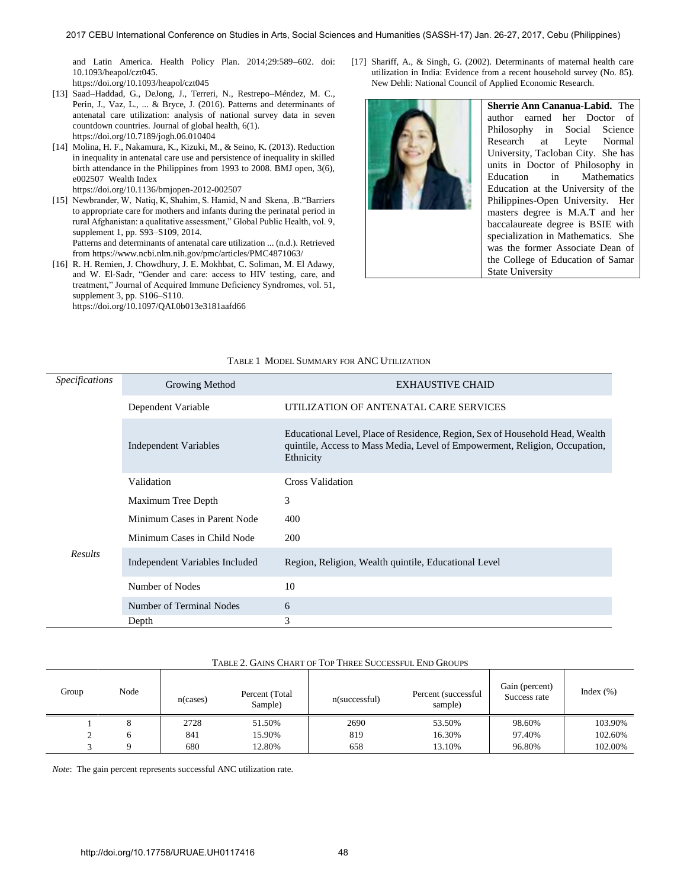[and Latin America. Health Policy Plan. 2014;29:589–602. doi:](https://doi.org/10.1093/heapol/czt045)  [10.1093/heapol/czt045.](https://doi.org/10.1093/heapol/czt045) 

<https://doi.org/10.1093/heapol/czt045>

- [13] [Saad–Haddad, G., DeJong, J., Terreri, N., Restrepo–Méndez, M. C.,](https://doi.org/10.7189/jogh.06.010404)  [Perin, J., Vaz, L., ... & Bryce, J. \(2016\). Patterns and determinants of](https://doi.org/10.7189/jogh.06.010404)  [antenatal care utilization: analysis of national survey data in seven](https://doi.org/10.7189/jogh.06.010404)  [countdown countries. Journal of global health, 6\(1\).](https://doi.org/10.7189/jogh.06.010404)  <https://doi.org/10.7189/jogh.06.010404>
- [14] [Molina, H. F., Nakamura, K., Kizuki, M., & Seino, K. \(2013\). Reduction](https://doi.org/10.1136/bmjopen-2012-002507)  [in inequality in antenatal care use and persistence of inequality in skilled](https://doi.org/10.1136/bmjopen-2012-002507)  [birth attendance in the Philippines from 1993 to 2008. BMJ open, 3\(6\),](https://doi.org/10.1136/bmjopen-2012-002507)  [e002507 Wealth Index](https://doi.org/10.1136/bmjopen-2012-002507)  <https://doi.org/10.1136/bmjopen-2012-002507>
- [15] Newbrander, W, Natiq, K, Shahim, S. Hamid, N and Skena, .B."Barriers to appropriate care for mothers and infants during the perinatal period in rural Afghanistan: a qualitative assessment," Global Public Health, vol. 9, supplement 1, pp. S93–S109, 2014. Patterns and determinants of antenatal care utilization ... (n.d.). Retrieved from https://www.ncbi.nlm.nih.gov/pmc/articles/PMC4871063/
- [16] R. H. Remien, J. Chowdhury, J. E. Mokhbat, C. Soliman, M. El Adawy, [and W. El-Sadr, "Gender and care: access to HIV testing, care, and](https://doi.org/10.1097/QAI.0b013e3181aafd66)  [treatment," Journal of Acquired Immune Deficiency Syndromes, vol. 51,](https://doi.org/10.1097/QAI.0b013e3181aafd66)  [supplement 3, pp. S106–S110.](https://doi.org/10.1097/QAI.0b013e3181aafd66)  <https://doi.org/10.1097/QAI.0b013e3181aafd66>

[17] Shariff, A., & Singh, G. (2002). Determinants of maternal health care utilization in India: Evidence from a recent household survey (No. 85). New Dehli: National Council of Applied Economic Research.



**Sherrie Ann Cananua-Labid.** The author earned her Doctor of Philosophy in Social Science Research at Leyte Normal University, Tacloban City. She has units in Doctor of Philosophy in Education in Mathematics Education at the University of the Philippines-Open University. Her masters degree is M.A.T and her baccalaureate degree is BSIE with specialization in Mathematics. She was the former Associate Dean of the College of Education of Samar State University

| <i>Specifications</i> | Growing Method                 | <b>EXHAUSTIVE CHAID</b>                                                                                                                                                  |  |  |
|-----------------------|--------------------------------|--------------------------------------------------------------------------------------------------------------------------------------------------------------------------|--|--|
|                       | Dependent Variable             | UTILIZATION OF ANTENATAL CARE SERVICES                                                                                                                                   |  |  |
|                       | Independent Variables          | Educational Level, Place of Residence, Region, Sex of Household Head, Wealth<br>quintile, Access to Mass Media, Level of Empowerment, Religion, Occupation,<br>Ethnicity |  |  |
| <b>Results</b>        | Validation                     | Cross Validation                                                                                                                                                         |  |  |
|                       | Maximum Tree Depth             | 3                                                                                                                                                                        |  |  |
|                       | Minimum Cases in Parent Node   | 400                                                                                                                                                                      |  |  |
|                       | Minimum Cases in Child Node    | 200                                                                                                                                                                      |  |  |
|                       | Independent Variables Included | Region, Religion, Wealth quintile, Educational Level                                                                                                                     |  |  |
|                       | Number of Nodes                | 10                                                                                                                                                                       |  |  |
|                       | Number of Terminal Nodes       | 6                                                                                                                                                                        |  |  |
|                       | Depth                          | 3                                                                                                                                                                        |  |  |

#### TABLE 1 MODEL SUMMARY FOR ANC UTILIZATION

## TABLE 2. GAINS CHART OF TOP THREE SUCCESSFUL END GROUPS

| Group | Node | $n$ (cases) | Percent (Total<br>Sample) | $n$ (successful) | Percent (successful)<br>sample) | Gain (percent)<br>Success rate | Index $(\% )$ |
|-------|------|-------------|---------------------------|------------------|---------------------------------|--------------------------------|---------------|
|       |      | 2728        | 51.50%                    | 2690             | 53.50%                          | 98.60%                         | 103.90%       |
|       |      | 841         | 15.90%                    | 819              | 16.30%                          | 97.40%                         | 102.60%       |
|       |      | 680         | 12.80%                    | 658              | 13.10%                          | 96.80%                         | 102.00%       |

*Note*: The gain percent represents successful ANC utilization rate.